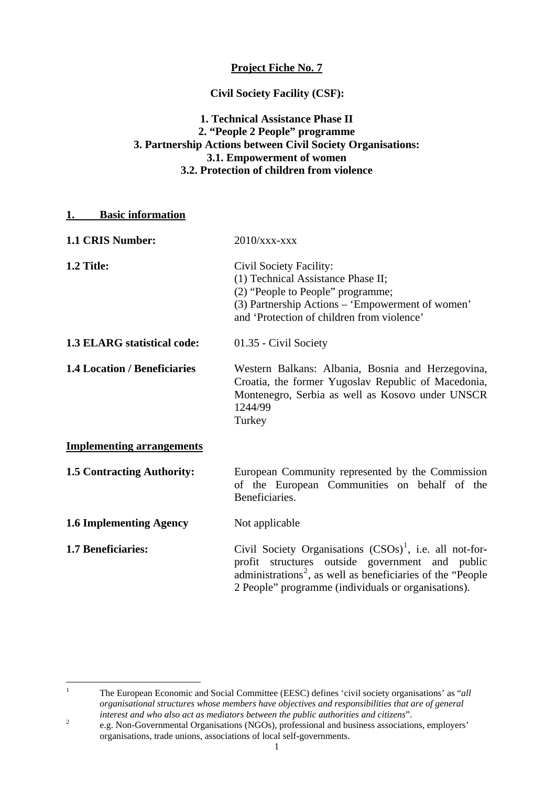### **Project Fiche No. 7**

#### **Civil Society Facility (CSF):**

### **1. Technical Assistance Phase II 2. "People 2 People" programme 3. Partnership Actions between Civil Society Organisations: 3.1. Empowerment of women 3.2. Protection of children from violence**

#### **1. Basic information**

| 1.1 CRIS Number:                    | $2010$ /xxx-xxx                                                                                                                                                                                                                                 |
|-------------------------------------|-------------------------------------------------------------------------------------------------------------------------------------------------------------------------------------------------------------------------------------------------|
| 1.2 Title:                          | Civil Society Facility:<br>(1) Technical Assistance Phase II;<br>(2) "People to People" programme;<br>(3) Partnership Actions – 'Empowerment of women'<br>and 'Protection of children from violence'                                            |
| 1.3 ELARG statistical code:         | 01.35 - Civil Society                                                                                                                                                                                                                           |
| <b>1.4 Location / Beneficiaries</b> | Western Balkans: Albania, Bosnia and Herzegovina,<br>Croatia, the former Yugoslav Republic of Macedonia,<br>Montenegro, Serbia as well as Kosovo under UNSCR<br>1244/99<br>Turkey                                                               |
| <b>Implementing arrangements</b>    |                                                                                                                                                                                                                                                 |
| <b>1.5 Contracting Authority:</b>   | European Community represented by the Commission<br>of the European Communities on behalf of the<br>Beneficiaries.                                                                                                                              |
| <b>1.6 Implementing Agency</b>      | Not applicable                                                                                                                                                                                                                                  |
| 1.7 Beneficiaries:                  | Civil Society Organisations $(CSOs)^1$ , i.e. all not-for-<br>profit structures outside government and public<br>administrations <sup>2</sup> , as well as beneficiaries of the "People"<br>2 People" programme (individuals or organisations). |

<span id="page-0-0"></span> $\frac{1}{1}$  The European Economic and Social Committee (EESC) defines 'civil society organisations' as "*all organisational structures whose members have objectives and responsibilities that are of general interest and who also act as mediators between the public authorities and citizens*". 2

<span id="page-0-1"></span>e.g. Non-Governmental Organisations (NGOs), professional and business associations, employers' organisations, trade unions, associations of local self-governments.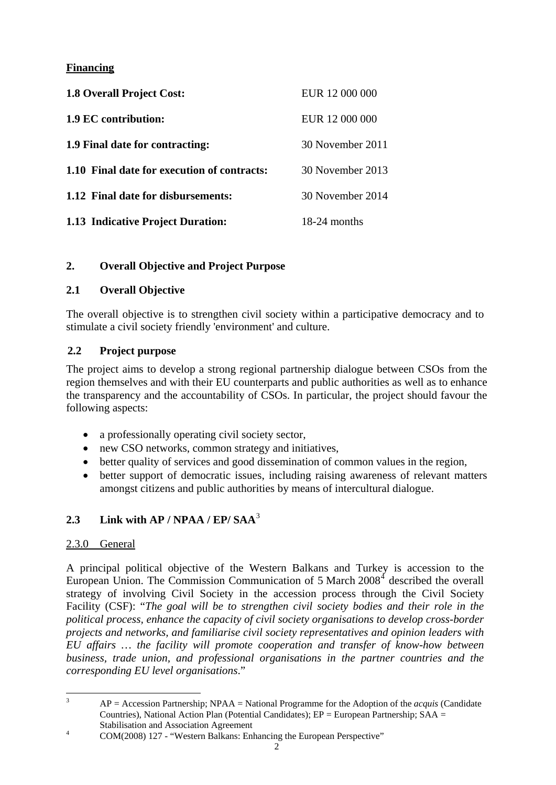## **Financing**

| <b>1.8 Overall Project Cost:</b>            | EUR 12 000 000   |
|---------------------------------------------|------------------|
| 1.9 EC contribution:                        | EUR 12 000 000   |
| 1.9 Final date for contracting:             | 30 November 2011 |
| 1.10 Final date for execution of contracts: | 30 November 2013 |
| 1.12 Final date for disbursements:          | 30 November 2014 |
| 1.13 Indicative Project Duration:           | 18-24 months     |

### **2. Overall Objective and Project Purpose**

### **2.1 Overall Objective**

The overall objective is to strengthen civil society within a participative democracy and to stimulate a civil society friendly 'environment' and culture.

### **2.2 Project purpose**

The project aims to develop a strong regional partnership dialogue between CSOs from the region themselves and with their EU counterparts and public authorities as well as to enhance the transparency and the accountability of CSOs. In particular, the project should favour the following aspects:

- a professionally operating civil society sector,
- new CSO networks, common strategy and initiatives,
- better quality of services and good dissemination of common values in the region,
- better support of democratic issues, including raising awareness of relevant matters amongst citizens and public authorities by means of intercultural dialogue.

# **2.3 Link with AP / NPAA / EP/ SAA**[3](#page-1-0)

### 2.3.0 General

A principal political objective of the Western Balkans and Turkey is accession to the European Union. The Commission Communication of  $5$  March  $2008<sup>4</sup>$  $2008<sup>4</sup>$  $2008<sup>4</sup>$  described the overall strategy of involving Civil Society in the accession process through the Civil Society Facility (CSF): "*The goal will be to strengthen civil society bodies and their role in the political process, enhance the capacity of civil society organisations to develop cross-border projects and networks, and familiarise civil society representatives and opinion leaders with EU affairs … the facility will promote cooperation and transfer of know-how between business, trade union, and professional organisations in the partner countries and the corresponding EU level organisations*."

 $\frac{1}{3}$  AP = Accession Partnership; NPAA = National Programme for the Adoption of the *acquis* (Candidate Countries), National Action Plan (Potential Candidates);  $EP = European$  Partnership;  $SAA =$ Stabilisation and Association Agreement

<span id="page-1-1"></span><span id="page-1-0"></span>COM(2008) 127 - "Western Balkans: Enhancing the European Perspective"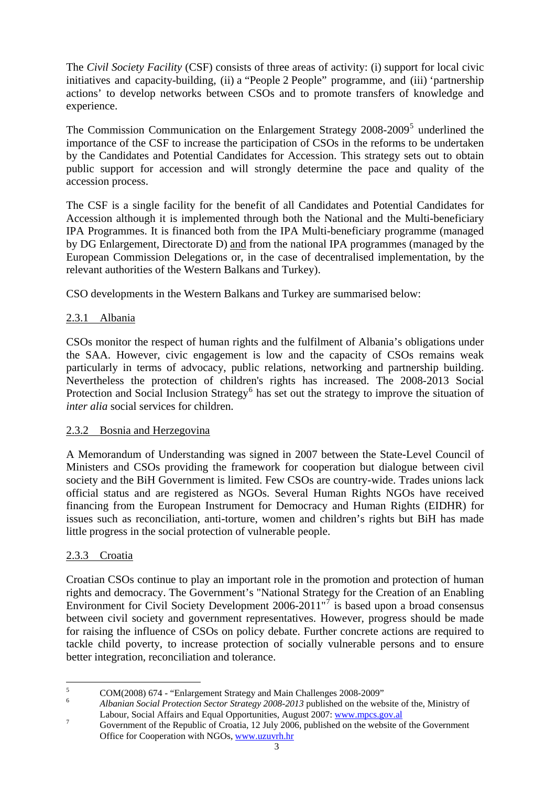The *Civil Society Facility* (CSF) consists of three areas of activity: (i) support for local civic initiatives and capacity-building, (ii) a "People 2 People" programme, and (iii) 'partnership actions' to develop networks between CSOs and to promote transfers of knowledge and experience.

The Commission Communication on the Enlargement Strategy 2008-2009<sup>[5](#page-2-0)</sup> underlined the importance of the CSF to increase the participation of CSOs in the reforms to be undertaken by the Candidates and Potential Candidates for Accession. This strategy sets out to obtain public support for accession and will strongly determine the pace and quality of the accession process.

The CSF is a single facility for the benefit of all Candidates and Potential Candidates for Accession although it is implemented through both the National and the Multi-beneficiary IPA Programmes. It is financed both from the IPA Multi-beneficiary programme (managed by DG Enlargement, Directorate D) and from the national IPA programmes (managed by the European Commission Delegations or, in the case of decentralised implementation, by the relevant authorities of the Western Balkans and Turkey).

CSO developments in the Western Balkans and Turkey are summarised below:

### 2.3.1 Albania

CSOs monitor the respect of human rights and the fulfilment of Albania's obligations under the SAA. However, civic engagement is low and the capacity of CSOs remains weak particularly in terms of advocacy, public relations, networking and partnership building. Nevertheless the protection of children's rights has increased. The 2008-2013 Social Protection and Social Inclusion Strategy<sup>[6](#page-2-1)</sup> has set out the strategy to improve the situation of *inter alia* social services for children.

### 2.3.2 Bosnia and Herzegovina

A Memorandum of Understanding was signed in 2007 between the State-Level Council of Ministers and CSOs providing the framework for cooperation but dialogue between civil society and the BiH Government is limited. Few CSOs are country-wide. Trades unions lack official status and are registered as NGOs. Several Human Rights NGOs have received financing from the European Instrument for Democracy and Human Rights (EIDHR) for issues such as reconciliation, anti-torture, women and children's rights but BiH has made little progress in the social protection of vulnerable people.

### 2.3.3 Croatia

Croatian CSOs continue to play an important role in the promotion and protection of human rights and democracy. The Government's "National Strategy for the Creation of an Enabling Environment for Civil Society Development 2006-2011"<sup>[7](#page-2-2)</sup> is based upon a broad consensus between civil society and government representatives. However, progress should be made for raising the influence of CSOs on policy debate. Further concrete actions are required to tackle child poverty, to increase protection of socially vulnerable persons and to ensure better integration, reconciliation and tolerance.

 $\frac{1}{5}$ COM(2008) 674 - "Enlargement Strategy and Main Challenges 2008-2009"

<span id="page-2-1"></span><span id="page-2-0"></span><sup>6</sup> *Albanian Social Protection Sector Strategy 2008-2013* published on the website of the, Ministry of Labour, Social Affairs and Equal Opportunities, August 2007: [www.mpcs.gov.al](http://www.mpcs.gov.al/)<br>
Convenient of the Depublic of Creatic 12 July 2006, sublished and he website a

<span id="page-2-2"></span>Government of the Republic of Croatia, 12 July 2006, published on the website of the Government Office for Cooperation with NGOs, www.uzuvrh.hr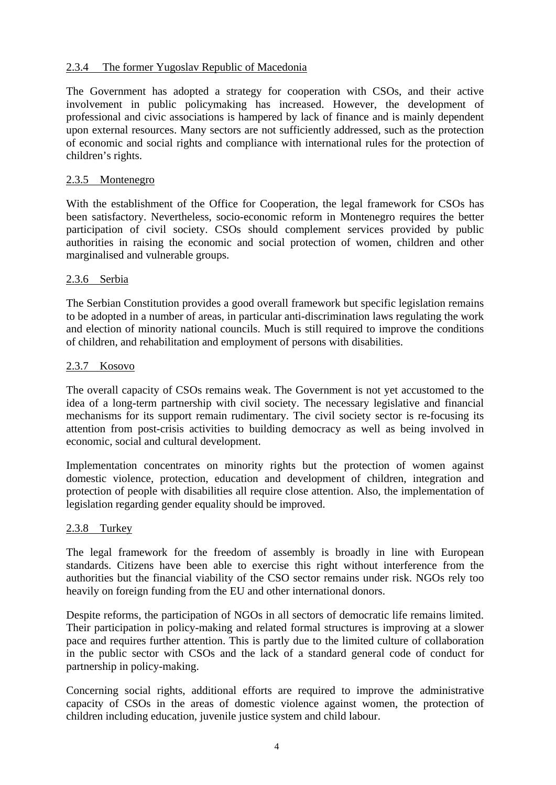### 2.3.4 The former Yugoslav Republic of Macedonia

The Government has adopted a strategy for cooperation with CSOs, and their active involvement in public policymaking has increased. However, the development of professional and civic associations is hampered by lack of finance and is mainly dependent upon external resources. Many sectors are not sufficiently addressed, such as the protection of economic and social rights and compliance with international rules for the protection of children's rights.

#### 2.3.5 Montenegro

With the establishment of the Office for Cooperation, the legal framework for CSOs has been satisfactory. Nevertheless, socio-economic reform in Montenegro requires the better participation of civil society. CSOs should complement services provided by public authorities in raising the economic and social protection of women, children and other marginalised and vulnerable groups.

### 2.3.6 Serbia

The Serbian Constitution provides a good overall framework but specific legislation remains to be adopted in a number of areas, in particular anti-discrimination laws regulating the work and election of minority national councils. Much is still required to improve the conditions of children, and rehabilitation and employment of persons with disabilities.

#### 2.3.7 Kosovo

The overall capacity of CSOs remains weak. The Government is not yet accustomed to the idea of a long-term partnership with civil society. The necessary legislative and financial mechanisms for its support remain rudimentary. The civil society sector is re-focusing its attention from post-crisis activities to building democracy as well as being involved in economic, social and cultural development.

Implementation concentrates on minority rights but the protection of women against domestic violence, protection, education and development of children, integration and protection of people with disabilities all require close attention. Also, the implementation of legislation regarding gender equality should be improved.

#### 2.3.8 Turkey

The legal framework for the freedom of assembly is broadly in line with European standards. Citizens have been able to exercise this right without interference from the authorities but the financial viability of the CSO sector remains under risk. NGOs rely too heavily on foreign funding from the EU and other international donors.

Despite reforms, the participation of NGOs in all sectors of democratic life remains limited. Their participation in policy-making and related formal structures is improving at a slower pace and requires further attention. This is partly due to the limited culture of collaboration in the public sector with CSOs and the lack of a standard general code of conduct for partnership in policy-making.

Concerning social rights, additional efforts are required to improve the administrative capacity of CSOs in the areas of domestic violence against women, the protection of children including education, juvenile justice system and child labour.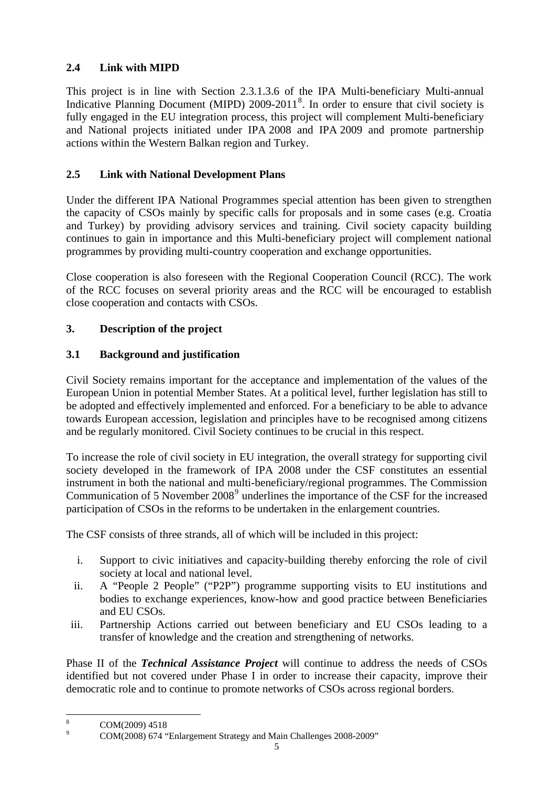# **2.4 Link with MIPD**

This project is in line with Section 2.3.1.3.6 of the IPA Multi-beneficiary Multi-annual Indicative Planning Document (MIPD) 2009-2011<sup>[8](#page-4-0)</sup>. In order to ensure that civil society is fully engaged in the EU integration process, this project will complement Multi-beneficiary and National projects initiated under IPA 2008 and IPA 2009 and promote partnership actions within the Western Balkan region and Turkey.

## **2.5 Link with National Development Plans**

Under the different IPA National Programmes special attention has been given to strengthen the capacity of CSOs mainly by specific calls for proposals and in some cases (e.g. Croatia and Turkey) by providing advisory services and training. Civil society capacity building continues to gain in importance and this Multi-beneficiary project will complement national programmes by providing multi-country cooperation and exchange opportunities.

Close cooperation is also foreseen with the Regional Cooperation Council (RCC). The work of the RCC focuses on several priority areas and the RCC will be encouraged to establish close cooperation and contacts with CSOs.

# **3. Description of the project**

# **3.1 Background and justification**

Civil Society remains important for the acceptance and implementation of the values of the European Union in potential Member States. At a political level, further legislation has still to be adopted and effectively implemented and enforced. For a beneficiary to be able to advance towards European accession, legislation and principles have to be recognised among citizens and be regularly monitored. Civil Society continues to be crucial in this respect.

To increase the role of civil society in EU integration, the overall strategy for supporting civil society developed in the framework of IPA 2008 under the CSF constitutes an essential instrument in both the national and multi-beneficiary/regional programmes. The Commission Communication of 5 November 2008<sup>[9](#page-4-1)</sup> underlines the importance of the CSF for the increased participation of CSOs in the reforms to be undertaken in the enlargement countries.

The CSF consists of three strands, all of which will be included in this project:

- i. Support to civic initiatives and capacity-building thereby enforcing the role of civil society at local and national level.
- ii. A "People 2 People" ("P2P") programme supporting visits to EU institutions and bodies to exchange experiences, know-how and good practice between Beneficiaries and EU CSOs.
- iii. Partnership Actions carried out between beneficiary and EU CSOs leading to a transfer of knowledge and the creation and strengthening of networks.

Phase II of the *Technical Assistance Project* will continue to address the needs of CSOs identified but not covered under Phase I in order to increase their capacity, improve their democratic role and to continue to promote networks of CSOs across regional borders.

<span id="page-4-0"></span> $\frac{1}{8}$  COM(2009) 4518 9

<span id="page-4-1"></span>COM(2008) 674 "Enlargement Strategy and Main Challenges 2008-2009"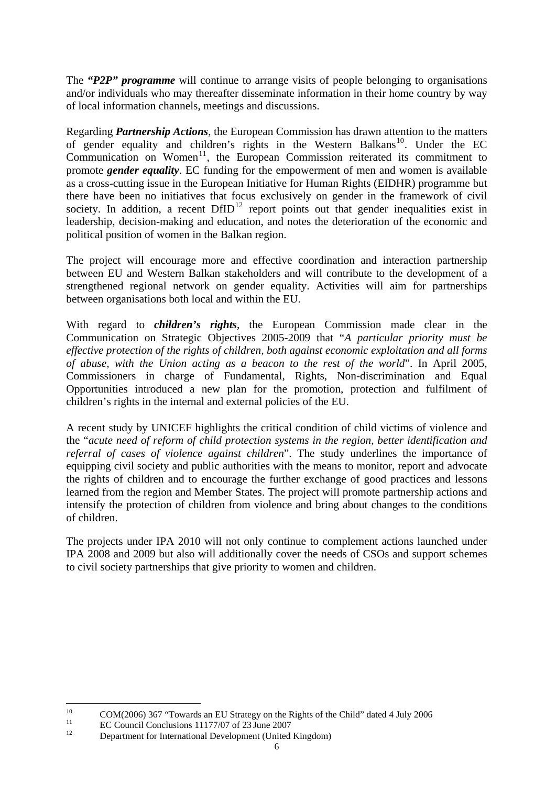<span id="page-5-0"></span>The *"P2P" programme* will continue to arrange visits of people belonging to organisations and/or individuals who may thereafter disseminate information in their home country by way of local information channels, meetings and discussions.

Regarding *Partnership Actions*, the European Commission has drawn attention to the matters of gender equality and children's rights in the Western Balkans<sup>[10](#page-5-0)</sup>. Under the EC  $Common$ <sup>[11](#page-5-0)</sup>, the European Commission reiterated its commitment to promote *gender equality*. EC funding for the empowerment of men and women is available as a cross-cutting issue in the European Initiative for Human Rights (EIDHR) programme but there have been no initiatives that focus exclusively on gender in the framework of civil society. In addition, a recent  $DfID^{12}$  $DfID^{12}$  $DfID^{12}$  report points out that gender inequalities exist in leadership, decision-making and education, and notes the deterioration of the economic and political position of women in the Balkan region.

The project will encourage more and effective coordination and interaction partnership between EU and Western Balkan stakeholders and will contribute to the development of a strengthened regional network on gender equality. Activities will aim for partnerships between organisations both local and within the EU.

With regard to *children's rights*, the European Commission made clear in the Communication on Strategic Objectives 2005-2009 that "*A particular priority must be effective protection of the rights of children, both against economic exploitation and all forms of abuse, with the Union acting as a beacon to the rest of the world*". In April 2005, Commissioners in charge of Fundamental, Rights, Non-discrimination and Equal Opportunities introduced a new plan for the promotion, protection and fulfilment of children's rights in the internal and external policies of the EU.

A recent study by UNICEF highlights the critical condition of child victims of violence and the "*acute need of reform of child protection systems in the region, better identification and referral of cases of violence against children*". The study underlines the importance of equipping civil society and public authorities with the means to monitor, report and advocate the rights of children and to encourage the further exchange of good practices and lessons learned from the region and Member States. The project will promote partnership actions and intensify the protection of children from violence and bring about changes to the conditions of children.

The projects under IPA 2010 will not only continue to complement actions launched under IPA 2008 and 2009 but also will additionally cover the needs of CSOs and support schemes to civil society partnerships that give priority to women and children.

 $10<sup>10</sup>$ <sup>10</sup> COM(2006) 367 "Towards an EU Strategy on the Rights of the Child" dated 4 July 2006

<sup>&</sup>lt;sup>11</sup> EC Council Conclusions 11177/07 of 23 June 2007<br>
Department for International Development (United Kingdom)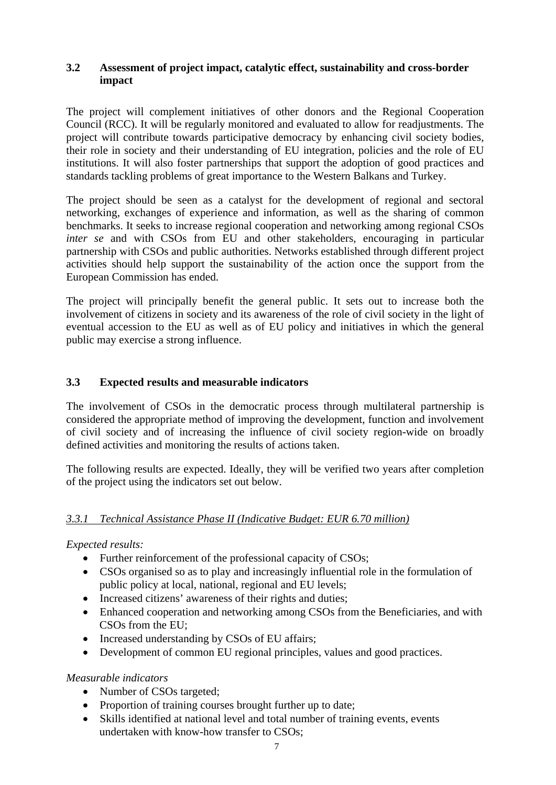### **3.2 Assessment of project impact, catalytic effect, sustainability and cross-border impact**

The project will complement initiatives of other donors and the Regional Cooperation Council (RCC). It will be regularly monitored and evaluated to allow for readjustments. The project will contribute towards participative democracy by enhancing civil society bodies, their role in society and their understanding of EU integration, policies and the role of EU institutions. It will also foster partnerships that support the adoption of good practices and standards tackling problems of great importance to the Western Balkans and Turkey.

The project should be seen as a catalyst for the development of regional and sectoral networking, exchanges of experience and information, as well as the sharing of common benchmarks. It seeks to increase regional cooperation and networking among regional CSOs *inter se* and with CSOs from EU and other stakeholders, encouraging in particular partnership with CSOs and public authorities. Networks established through different project activities should help support the sustainability of the action once the support from the European Commission has ended.

The project will principally benefit the general public. It sets out to increase both the involvement of citizens in society and its awareness of the role of civil society in the light of eventual accession to the EU as well as of EU policy and initiatives in which the general public may exercise a strong influence.

### **3.3 Expected results and measurable indicators**

The involvement of CSOs in the democratic process through multilateral partnership is considered the appropriate method of improving the development, function and involvement of civil society and of increasing the influence of civil society region-wide on broadly defined activities and monitoring the results of actions taken.

The following results are expected. Ideally, they will be verified two years after completion of the project using the indicators set out below.

### *3.3.1 Technical Assistance Phase II (Indicative Budget: EUR 6.70 million)*

*Expected results:* 

- Further reinforcement of the professional capacity of CSOs;
- CSOs organised so as to play and increasingly influential role in the formulation of public policy at local, national, regional and EU levels;
- Increased citizens' awareness of their rights and duties:
- Enhanced cooperation and networking among CSOs from the Beneficiaries, and with CSOs from the EU;
- Increased understanding by CSOs of EU affairs;
- Development of common EU regional principles, values and good practices.

#### *Measurable indicators*

- Number of CSOs targeted;
- Proportion of training courses brought further up to date;
- Skills identified at national level and total number of training events, events undertaken with know-how transfer to CSOs;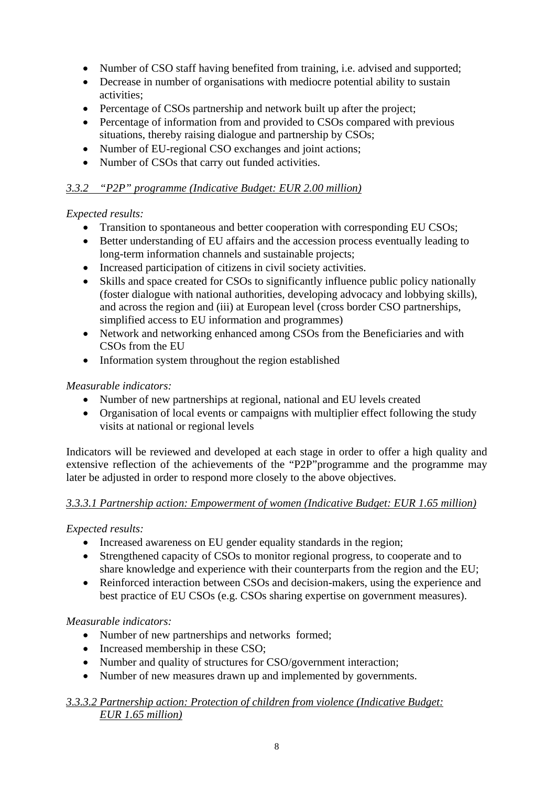- Number of CSO staff having benefited from training, i.e. advised and supported;
- Decrease in number of organisations with mediocre potential ability to sustain activities;
- Percentage of CSOs partnership and network built up after the project:
- Percentage of information from and provided to CSOs compared with previous situations, thereby raising dialogue and partnership by CSOs;
- Number of EU-regional CSO exchanges and joint actions;
- Number of CSOs that carry out funded activities.

# *3.3.2 "P2P" programme (Indicative Budget: EUR 2.00 million)*

# *Expected results:*

- Transition to spontaneous and better cooperation with corresponding EU CSOs;
- Better understanding of EU affairs and the accession process eventually leading to long-term information channels and sustainable projects;
- Increased participation of citizens in civil society activities.
- Skills and space created for CSOs to significantly influence public policy nationally (foster dialogue with national authorities, developing advocacy and lobbying skills), and across the region and (iii) at European level (cross border CSO partnerships, simplified access to EU information and programmes)
- Network and networking enhanced among CSOs from the Beneficiaries and with CSOs from the EU
- Information system throughout the region established

# *Measurable indicators:*

- Number of new partnerships at regional, national and EU levels created
- Organisation of local events or campaigns with multiplier effect following the study visits at national or regional levels

Indicators will be reviewed and developed at each stage in order to offer a high quality and extensive reflection of the achievements of the "P2P"programme and the programme may later be adjusted in order to respond more closely to the above objectives.

## *3.3.3.1 Partnership action: Empowerment of women (Indicative Budget: EUR 1.65 million)*

## *Expected results:*

- Increased awareness on EU gender equality standards in the region;
- Strengthened capacity of CSOs to monitor regional progress, to cooperate and to share knowledge and experience with their counterparts from the region and the EU;
- Reinforced interaction between CSOs and decision-makers, using the experience and best practice of EU CSOs (e.g. CSOs sharing expertise on government measures).

# *Measurable indicators:*

- Number of new partnerships and networks formed;
- Increased membership in these CSO:
- Number and quality of structures for CSO/government interaction;
- Number of new measures drawn up and implemented by governments.

## *3.3.3.2 Partnership action: Protection of children from violence (Indicative Budget: EUR 1.65 million)*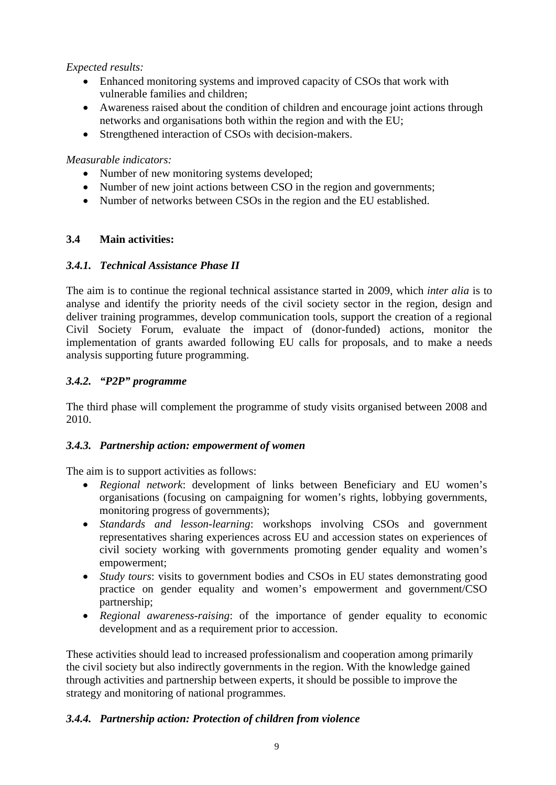## *Expected results:*

- Enhanced monitoring systems and improved capacity of CSOs that work with vulnerable families and children;
- Awareness raised about the condition of children and encourage joint actions through networks and organisations both within the region and with the EU;
- Strengthened interaction of CSOs with decision-makers.

### *Measurable indicators:*

- Number of new monitoring systems developed;
- Number of new joint actions between CSO in the region and governments;
- Number of networks between CSOs in the region and the EU established.

### **3.4 Main activities:**

### *3.4.1. Technical Assistance Phase II*

The aim is to continue the regional technical assistance started in 2009, which *inter alia* is to analyse and identify the priority needs of the civil society sector in the region, design and deliver training programmes, develop communication tools, support the creation of a regional Civil Society Forum, evaluate the impact of (donor-funded) actions, monitor the implementation of grants awarded following EU calls for proposals, and to make a needs analysis supporting future programming.

### *3.4.2. "P2P" programme*

The third phase will complement the programme of study visits organised between 2008 and 2010.

### *3.4.3. Partnership action: empowerment of women*

The aim is to support activities as follows:

- *Regional network*: development of links between Beneficiary and EU women's organisations (focusing on campaigning for women's rights, lobbying governments, monitoring progress of governments);
- *Standards and lesson-learning*: workshops involving CSOs and government representatives sharing experiences across EU and accession states on experiences of civil society working with governments promoting gender equality and women's empowerment;
- *Study tours*: visits to government bodies and CSOs in EU states demonstrating good practice on gender equality and women's empowerment and government/CSO partnership;
- *Regional awareness-raising*: of the importance of gender equality to economic development and as a requirement prior to accession.

These activities should lead to increased professionalism and cooperation among primarily the civil society but also indirectly governments in the region. With the knowledge gained through activities and partnership between experts, it should be possible to improve the strategy and monitoring of national programmes.

### *3.4.4. Partnership action: Protection of children from violence*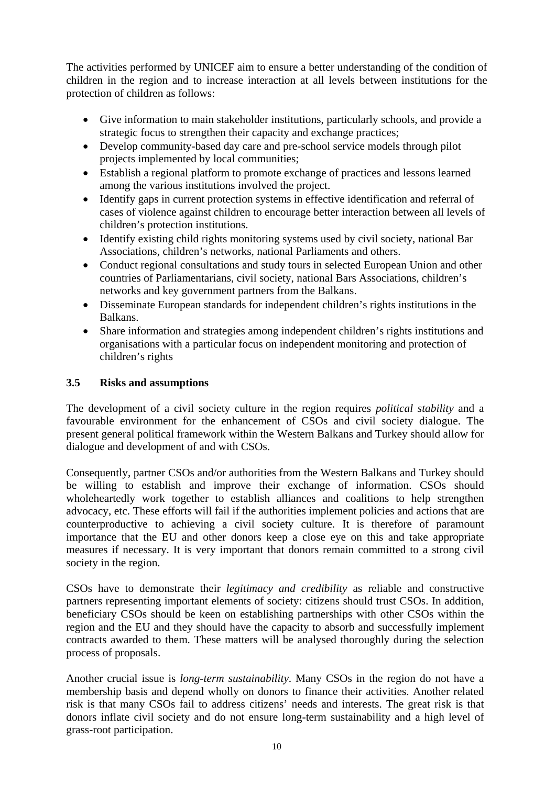The activities performed by UNICEF aim to ensure a better understanding of the condition of children in the region and to increase interaction at all levels between institutions for the protection of children as follows:

- Give information to main stakeholder institutions, particularly schools, and provide a strategic focus to strengthen their capacity and exchange practices;
- Develop community-based day care and pre-school service models through pilot projects implemented by local communities;
- Establish a regional platform to promote exchange of practices and lessons learned among the various institutions involved the project.
- Identify gaps in current protection systems in effective identification and referral of cases of violence against children to encourage better interaction between all levels of children's protection institutions.
- Identify existing child rights monitoring systems used by civil society, national Bar Associations, children's networks, national Parliaments and others.
- Conduct regional consultations and study tours in selected European Union and other countries of Parliamentarians, civil society, national Bars Associations, children's networks and key government partners from the Balkans.
- Disseminate European standards for independent children's rights institutions in the Balkans.
- Share information and strategies among independent children's rights institutions and organisations with a particular focus on independent monitoring and protection of children's rights

### **3.5 Risks and assumptions**

The development of a civil society culture in the region requires *political stability* and a favourable environment for the enhancement of CSOs and civil society dialogue. The present general political framework within the Western Balkans and Turkey should allow for dialogue and development of and with CSOs.

Consequently, partner CSOs and/or authorities from the Western Balkans and Turkey should be willing to establish and improve their exchange of information. CSOs should wholeheartedly work together to establish alliances and coalitions to help strengthen advocacy, etc. These efforts will fail if the authorities implement policies and actions that are counterproductive to achieving a civil society culture. It is therefore of paramount importance that the EU and other donors keep a close eye on this and take appropriate measures if necessary. It is very important that donors remain committed to a strong civil society in the region.

CSOs have to demonstrate their *legitimacy and credibility* as reliable and constructive partners representing important elements of society: citizens should trust CSOs. In addition, beneficiary CSOs should be keen on establishing partnerships with other CSOs within the region and the EU and they should have the capacity to absorb and successfully implement contracts awarded to them. These matters will be analysed thoroughly during the selection process of proposals.

Another crucial issue is *long-term sustainability*. Many CSOs in the region do not have a membership basis and depend wholly on donors to finance their activities. Another related risk is that many CSOs fail to address citizens' needs and interests. The great risk is that donors inflate civil society and do not ensure long-term sustainability and a high level of grass-root participation.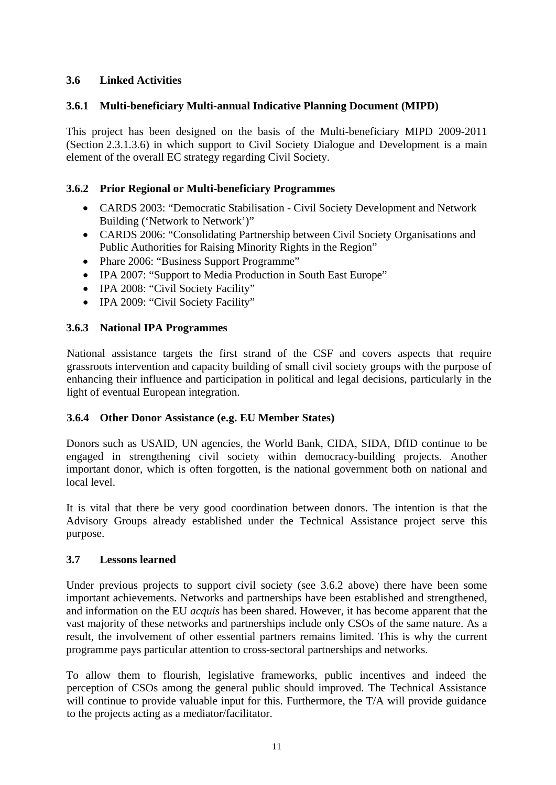## **3.6 Linked Activities**

### **3.6.1 Multi-beneficiary Multi-annual Indicative Planning Document (MIPD)**

This project has been designed on the basis of the Multi-beneficiary MIPD 2009-2011 (Section 2.3.1.3.6) in which support to Civil Society Dialogue and Development is a main element of the overall EC strategy regarding Civil Society.

### **3.6.2 Prior Regional or Multi-beneficiary Programmes**

- CARDS 2003: "Democratic Stabilisation Civil Society Development and Network Building ('Network to Network')"
- CARDS 2006: "Consolidating Partnership between Civil Society Organisations and Public Authorities for Raising Minority Rights in the Region"
- Phare 2006: "Business Support Programme"
- IPA 2007: "Support to Media Production in South East Europe"
- IPA 2008: "Civil Society Facility"
- IPA 2009: "Civil Society Facility"

#### **3.6.3 National IPA Programmes**

National assistance targets the first strand of the CSF and covers aspects that require grassroots intervention and capacity building of small civil society groups with the purpose of enhancing their influence and participation in political and legal decisions, particularly in the light of eventual European integration.

### **3.6.4 Other Donor Assistance (e.g. EU Member States)**

Donors such as USAID, UN agencies, the World Bank, CIDA, SIDA, DfID continue to be engaged in strengthening civil society within democracy-building projects. Another important donor, which is often forgotten, is the national government both on national and local level.

It is vital that there be very good coordination between donors. The intention is that the Advisory Groups already established under the Technical Assistance project serve this purpose.

#### **3.7 Lessons learned**

Under previous projects to support civil society (see 3.6.2 above) there have been some important achievements. Networks and partnerships have been established and strengthened, and information on the EU *acquis* has been shared. However, it has become apparent that the vast majority of these networks and partnerships include only CSOs of the same nature. As a result, the involvement of other essential partners remains limited. This is why the current programme pays particular attention to cross-sectoral partnerships and networks.

To allow them to flourish, legislative frameworks, public incentives and indeed the perception of CSOs among the general public should improved. The Technical Assistance will continue to provide valuable input for this. Furthermore, the T/A will provide guidance to the projects acting as a mediator/facilitator.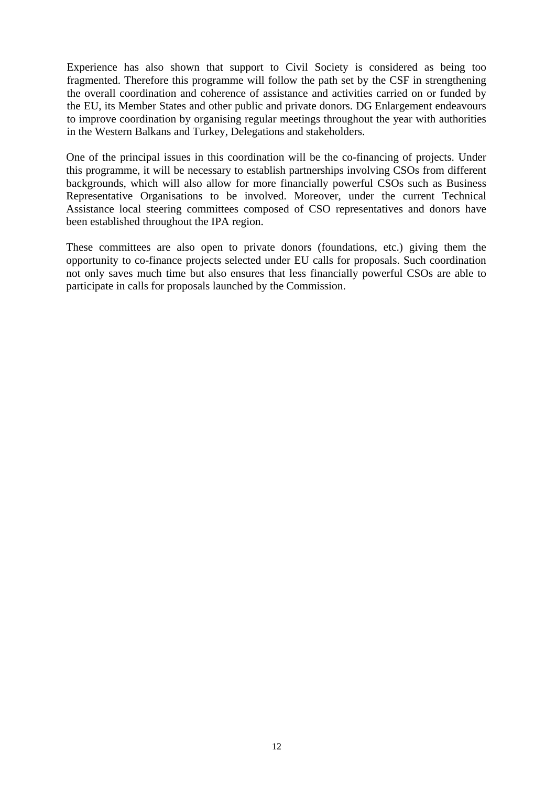Experience has also shown that support to Civil Society is considered as being too fragmented. Therefore this programme will follow the path set by the CSF in strengthening the overall coordination and coherence of assistance and activities carried on or funded by the EU, its Member States and other public and private donors. DG Enlargement endeavours to improve coordination by organising regular meetings throughout the year with authorities in the Western Balkans and Turkey, Delegations and stakeholders.

One of the principal issues in this coordination will be the co-financing of projects. Under this programme, it will be necessary to establish partnerships involving CSOs from different backgrounds, which will also allow for more financially powerful CSOs such as Business Representative Organisations to be involved. Moreover, under the current Technical Assistance local steering committees composed of CSO representatives and donors have been established throughout the IPA region.

These committees are also open to private donors (foundations, etc.) giving them the opportunity to co-finance projects selected under EU calls for proposals. Such coordination not only saves much time but also ensures that less financially powerful CSOs are able to participate in calls for proposals launched by the Commission.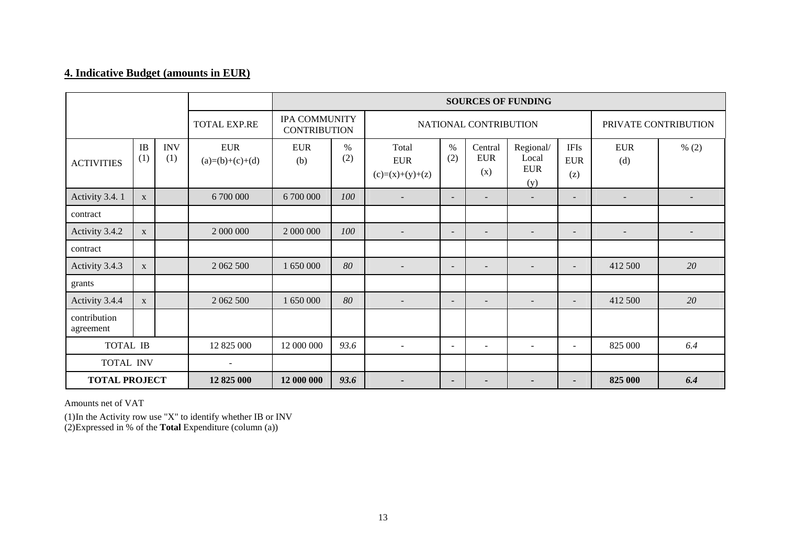## **4. Indicative Budget (amounts in EUR)**

|                           |                  |                   |                                 | <b>SOURCES OF FUNDING</b>                   |                          |                                          |                          |                              |                                          |                                  |                          |       |
|---------------------------|------------------|-------------------|---------------------------------|---------------------------------------------|--------------------------|------------------------------------------|--------------------------|------------------------------|------------------------------------------|----------------------------------|--------------------------|-------|
|                           |                  |                   | <b>TOTAL EXP.RE</b>             | <b>IPA COMMUNITY</b><br><b>CONTRIBUTION</b> |                          |                                          |                          | NATIONAL CONTRIBUTION        |                                          | PRIVATE CONTRIBUTION             |                          |       |
| <b>ACTIVITIES</b>         | <b>IB</b><br>(1) | <b>INV</b><br>(1) | <b>EUR</b><br>$(a)=(b)+(c)+(d)$ | <b>EUR</b><br>(b)                           | %<br>(2)                 | Total<br><b>EUR</b><br>$(c)=(x)+(y)+(z)$ | $\%$<br>(2)              | Central<br><b>EUR</b><br>(x) | Regional/<br>Local<br>${\rm EUR}$<br>(y) | <b>IFIs</b><br><b>EUR</b><br>(z) | <b>EUR</b><br>(d)        | % (2) |
| Activity 3.4.1            | X                |                   | 6 700 000                       | 6 700 000                                   | 100                      | $\overline{\phantom{a}}$                 | $\overline{\phantom{0}}$ |                              | $\overline{a}$                           | $\overline{\phantom{a}}$         |                          |       |
| contract                  |                  |                   |                                 |                                             |                          |                                          |                          |                              |                                          |                                  |                          |       |
| Activity 3.4.2            | $\mathbf{X}$     |                   | 2 000 000                       | 2 000 000                                   | 100                      | $\overline{\phantom{a}}$                 | $\overline{\phantom{a}}$ | $\overline{\phantom{a}}$     | $\overline{\phantom{a}}$                 | $\overline{\phantom{a}}$         | $\overline{\phantom{a}}$ |       |
| contract                  |                  |                   |                                 |                                             |                          |                                          |                          |                              |                                          |                                  |                          |       |
| Activity 3.4.3            | $\mathbf{X}$     |                   | 2 062 500                       | 1 650 000                                   | 80                       |                                          | $\overline{\phantom{0}}$ |                              | $\overline{\phantom{a}}$                 | $\overline{\phantom{0}}$         | 412 500                  | 20    |
| grants                    |                  |                   |                                 |                                             |                          |                                          |                          |                              |                                          |                                  |                          |       |
| Activity 3.4.4            | X                |                   | 2 062 500                       | 1 650 000                                   | 80                       | $\overline{\phantom{a}}$                 | $\qquad \qquad -$        | $\overline{\phantom{a}}$     | $\overline{\phantom{a}}$                 | $\overline{\phantom{a}}$         | 412 500                  | 20    |
| contribution<br>agreement |                  |                   |                                 |                                             |                          |                                          |                          |                              |                                          |                                  |                          |       |
| TOTAL IB<br>12 825 000    |                  |                   | 12 000 000                      | 93.6                                        | $\overline{\phantom{a}}$ | $\overline{\phantom{a}}$                 | ٠                        | $\blacksquare$               | $\blacksquare$                           | 825 000                          | 6.4                      |       |
| <b>TOTAL INV</b>          |                  |                   | $\sim$                          |                                             |                          |                                          |                          |                              |                                          |                                  |                          |       |
| <b>TOTAL PROJECT</b>      |                  |                   | 12 825 000                      | 12 000 000                                  | 93.6                     |                                          | ۰.                       | $\overline{\phantom{0}}$     |                                          | $\overline{\phantom{0}}$         | 825 000                  | 6.4   |

Amounts net of VAT

(1) In the Activity row use "X" to identify whether IB or INV (2) Expressed in % of the **Total** Expenditure (column (a))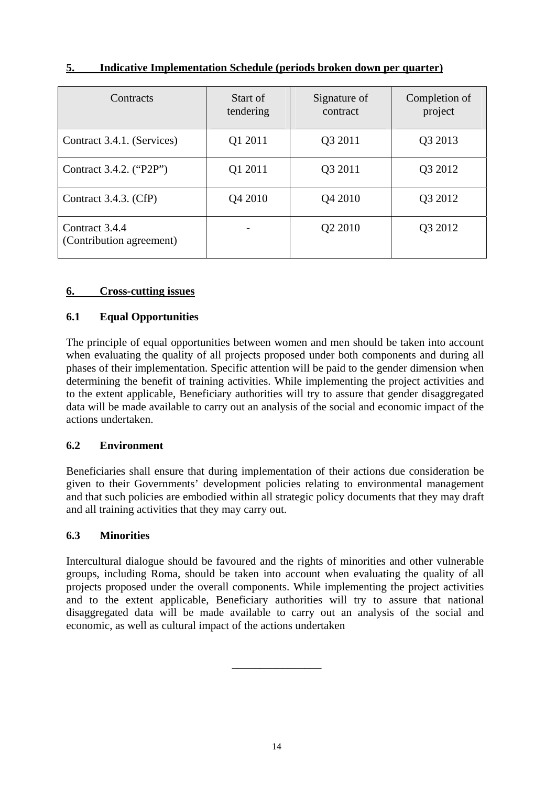| Contracts                                  | Start of<br>tendering | Signature of<br>contract | Completion of<br>project |
|--------------------------------------------|-----------------------|--------------------------|--------------------------|
| Contract 3.4.1. (Services)                 | Q1 2011               | Q3 2011                  | Q3 2013                  |
| Contract 3.4.2. ("P2P")                    | Q1 2011               | Q3 2011                  | Q3 2012                  |
| Contract 3.4.3. (CfP)                      | Q4 2010               | Q4 2010                  | Q3 2012                  |
| Contract 3.4.4<br>(Contribution agreement) |                       | Q2 2010                  | Q3 2012                  |

## **5. Indicative Implementation Schedule (periods broken down per quarter)**

### **6. Cross-cutting issues**

### **6.1 Equal Opportunities**

The principle of equal opportunities between women and men should be taken into account when evaluating the quality of all projects proposed under both components and during all phases of their implementation. Specific attention will be paid to the gender dimension when determining the benefit of training activities. While implementing the project activities and to the extent applicable, Beneficiary authorities will try to assure that gender disaggregated data will be made available to carry out an analysis of the social and economic impact of the actions undertaken.

### **6.2 Environment**

Beneficiaries shall ensure that during implementation of their actions due consideration be given to their Governments' development policies relating to environmental management and that such policies are embodied within all strategic policy documents that they may draft and all training activities that they may carry out.

### **6.3 Minorities**

Intercultural dialogue should be favoured and the rights of minorities and other vulnerable groups, including Roma, should be taken into account when evaluating the quality of all projects proposed under the overall components. While implementing the project activities and to the extent applicable, Beneficiary authorities will try to assure that national disaggregated data will be made available to carry out an analysis of the social and economic, as well as cultural impact of the actions undertaken

\_\_\_\_\_\_\_\_\_\_\_\_\_\_\_\_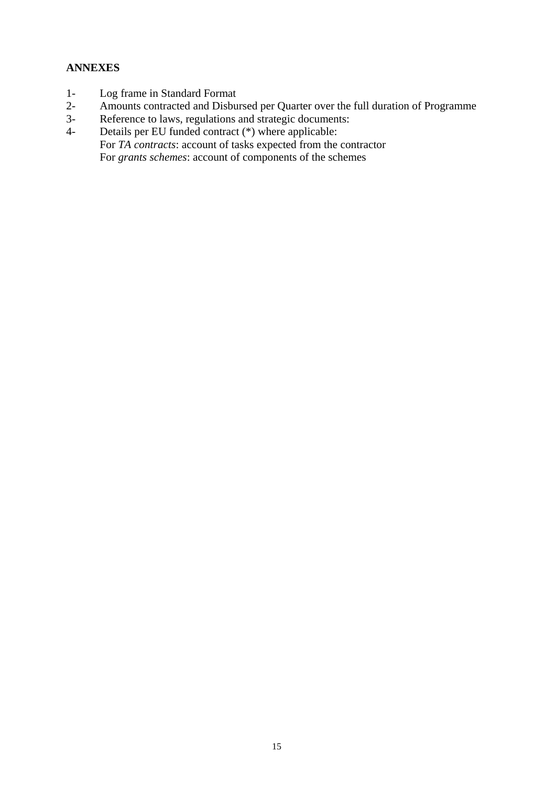## **ANNEXES**

- 1- Log frame in Standard Format
- 2- Amounts contracted and Disbursed per Quarter over the full duration of Programme<br>3- Reference to laws, regulations and strategic documents:
- Reference to laws, regulations and strategic documents:
- 4- Details per EU funded contract (\*) where applicable: For *TA contracts*: account of tasks expected from the contractor For *grants schemes*: account of components of the schemes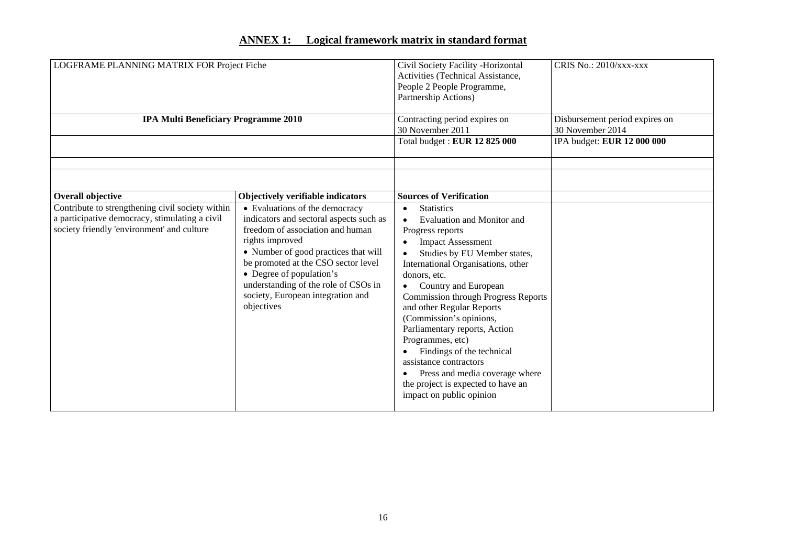### **ANNEX 1: Logical framework matrix in standard format**

| LOGFRAME PLANNING MATRIX FOR Project Fiche                                                                                                                            |                                                                                                                                                                                                                                                                                                                                                                             | Civil Society Facility -Horizontal<br>Activities (Technical Assistance,<br>People 2 People Programme,<br>Partnership Actions)                                                                                                                                                                                                                                                                                                                                                                                                                                                      | CRIS No.: 2010/xxx-xxx                                                           |  |
|-----------------------------------------------------------------------------------------------------------------------------------------------------------------------|-----------------------------------------------------------------------------------------------------------------------------------------------------------------------------------------------------------------------------------------------------------------------------------------------------------------------------------------------------------------------------|------------------------------------------------------------------------------------------------------------------------------------------------------------------------------------------------------------------------------------------------------------------------------------------------------------------------------------------------------------------------------------------------------------------------------------------------------------------------------------------------------------------------------------------------------------------------------------|----------------------------------------------------------------------------------|--|
| <b>IPA Multi Beneficiary Programme 2010</b>                                                                                                                           |                                                                                                                                                                                                                                                                                                                                                                             | Contracting period expires on<br>30 November 2011<br>Total budget: EUR 12 825 000                                                                                                                                                                                                                                                                                                                                                                                                                                                                                                  | Disbursement period expires on<br>30 November 2014<br>IPA budget: EUR 12 000 000 |  |
| Overall objective<br>Contribute to strengthening civil society within<br>a participative democracy, stimulating a civil<br>society friendly 'environment' and culture | Objectively verifiable indicators<br>• Evaluations of the democracy<br>indicators and sectoral aspects such as<br>freedom of association and human<br>rights improved<br>• Number of good practices that will<br>be promoted at the CSO sector level<br>• Degree of population's<br>understanding of the role of CSOs in<br>society, European integration and<br>objectives | <b>Sources of Verification</b><br><b>Statistics</b><br>$\bullet$<br>Evaluation and Monitor and<br>Progress reports<br><b>Impact Assessment</b><br>Studies by EU Member states,<br>International Organisations, other<br>donors, etc.<br>Country and European<br><b>Commission through Progress Reports</b><br>and other Regular Reports<br>(Commission's opinions,<br>Parliamentary reports, Action<br>Programmes, etc)<br>Findings of the technical<br>assistance contractors<br>Press and media coverage where<br>the project is expected to have an<br>impact on public opinion |                                                                                  |  |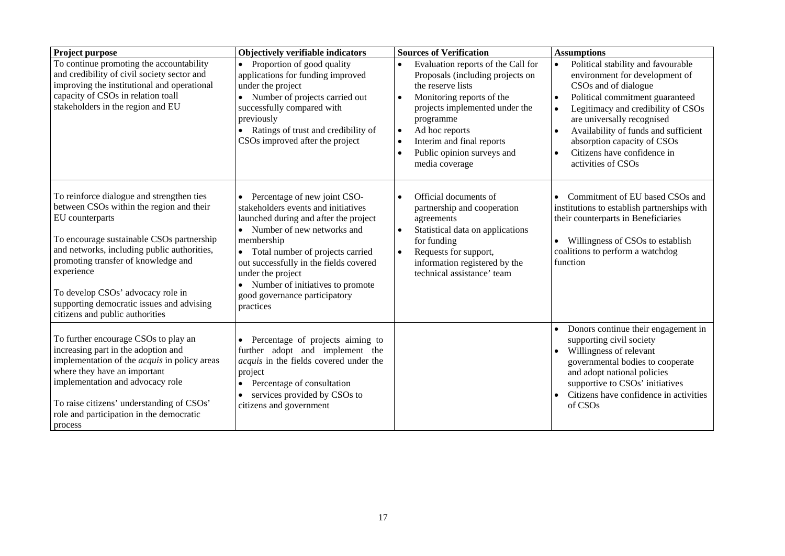| Project purpose                                                                                                                                                                                                                                                                                                                                                                | Objectively verifiable indicators                                                                                                                                                                                                                                                                                                                                       | <b>Sources of Verification</b>                                                                                                                                                                                                                                                                                | <b>Assumptions</b>                                                                                                                                                                                                                                                                                                                                                                  |
|--------------------------------------------------------------------------------------------------------------------------------------------------------------------------------------------------------------------------------------------------------------------------------------------------------------------------------------------------------------------------------|-------------------------------------------------------------------------------------------------------------------------------------------------------------------------------------------------------------------------------------------------------------------------------------------------------------------------------------------------------------------------|---------------------------------------------------------------------------------------------------------------------------------------------------------------------------------------------------------------------------------------------------------------------------------------------------------------|-------------------------------------------------------------------------------------------------------------------------------------------------------------------------------------------------------------------------------------------------------------------------------------------------------------------------------------------------------------------------------------|
| To continue promoting the accountability<br>and credibility of civil society sector and<br>improving the institutional and operational<br>capacity of CSOs in relation toall<br>stakeholders in the region and EU                                                                                                                                                              | Proportion of good quality<br>$\bullet$<br>applications for funding improved<br>under the project<br>Number of projects carried out<br>successfully compared with<br>previously<br>Ratings of trust and credibility of<br>CSOs improved after the project                                                                                                               | Evaluation reports of the Call for<br>Proposals (including projects on<br>the reserve lists<br>Monitoring reports of the<br>$\bullet$<br>projects implemented under the<br>programme<br>Ad hoc reports<br>$\bullet$<br>Interim and final reports<br>$\bullet$<br>Public opinion surveys and<br>media coverage | Political stability and favourable<br>$\bullet$<br>environment for development of<br>CSOs and of dialogue<br>Political commitment guaranteed<br>$\bullet$<br>Legitimacy and credibility of CSOs<br>are universally recognised<br>Availability of funds and sufficient<br>$\bullet$<br>absorption capacity of CSOs<br>Citizens have confidence in<br>$\bullet$<br>activities of CSOs |
| To reinforce dialogue and strengthen ties<br>between CSOs within the region and their<br>EU counterparts<br>To encourage sustainable CSOs partnership<br>and networks, including public authorities,<br>promoting transfer of knowledge and<br>experience<br>To develop CSOs' advocacy role in<br>supporting democratic issues and advising<br>citizens and public authorities | Percentage of new joint CSO-<br>$\bullet$<br>stakeholders events and initiatives<br>launched during and after the project<br>Number of new networks and<br>$\bullet$<br>membership<br>Total number of projects carried<br>out successfully in the fields covered<br>under the project<br>Number of initiatives to promote<br>good governance participatory<br>practices | Official documents of<br>$\bullet$<br>partnership and cooperation<br>agreements<br>Statistical data on applications<br>for funding<br>Requests for support,<br>$\bullet$<br>information registered by the<br>technical assistance' team                                                                       | Commitment of EU based CSOs and<br>institutions to establish partnerships with<br>their counterparts in Beneficiaries<br>Willingness of CSOs to establish<br>$\bullet$<br>coalitions to perform a watchdog<br>function                                                                                                                                                              |
| To further encourage CSOs to play an<br>increasing part in the adoption and<br>implementation of the <i>acquis</i> in policy areas<br>where they have an important<br>implementation and advocacy role<br>To raise citizens' understanding of CSOs'<br>role and participation in the democratic<br>process                                                                     | Percentage of projects aiming to<br>$\bullet$<br>further adopt and implement the<br>acquis in the fields covered under the<br>project<br>Percentage of consultation<br>services provided by CSOs to<br>$\bullet$<br>citizens and government                                                                                                                             |                                                                                                                                                                                                                                                                                                               | Donors continue their engagement in<br>supporting civil society<br>Willingness of relevant<br>$\bullet$<br>governmental bodies to cooperate<br>and adopt national policies<br>supportive to CSOs' initiatives<br>Citizens have confidence in activities<br>of CSOs                                                                                                                  |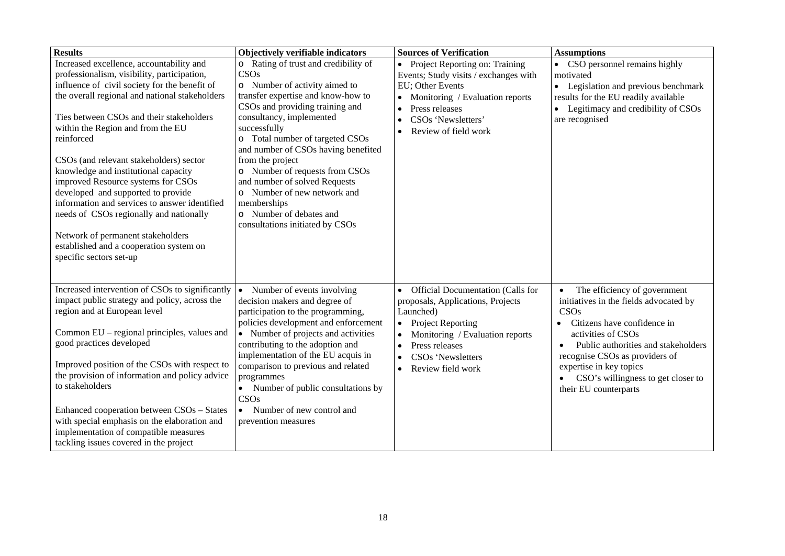| <b>Results</b>                                                                                                                                                                                                                                                                                                                                                                                                                                                                                                                                                                                                                                                              | Objectively verifiable indicators                                                                                                                                                                                                                                                                                                                                                                                                                                               | <b>Sources of Verification</b>                                                                                                                                                                                                                        | <b>Assumptions</b>                                                                                                                                                                                                                                                                                                               |
|-----------------------------------------------------------------------------------------------------------------------------------------------------------------------------------------------------------------------------------------------------------------------------------------------------------------------------------------------------------------------------------------------------------------------------------------------------------------------------------------------------------------------------------------------------------------------------------------------------------------------------------------------------------------------------|---------------------------------------------------------------------------------------------------------------------------------------------------------------------------------------------------------------------------------------------------------------------------------------------------------------------------------------------------------------------------------------------------------------------------------------------------------------------------------|-------------------------------------------------------------------------------------------------------------------------------------------------------------------------------------------------------------------------------------------------------|----------------------------------------------------------------------------------------------------------------------------------------------------------------------------------------------------------------------------------------------------------------------------------------------------------------------------------|
| Increased excellence, accountability and<br>professionalism, visibility, participation,<br>influence of civil society for the benefit of<br>the overall regional and national stakeholders<br>Ties between CSOs and their stakeholders<br>within the Region and from the EU<br>reinforced<br>CSO <sub>s</sub> (and relevant stakeholders) sector<br>knowledge and institutional capacity<br>improved Resource systems for CSOs<br>developed and supported to provide<br>information and services to answer identified<br>needs of CSOs regionally and nationally<br>Network of permanent stakeholders<br>established and a cooperation system on<br>specific sectors set-up | o Rating of trust and credibility of<br>CSOs<br>o Number of activity aimed to<br>transfer expertise and know-how to<br>CSOs and providing training and<br>consultancy, implemented<br>successfully<br>o Total number of targeted CSOs<br>and number of CSOs having benefited<br>from the project<br>o Number of requests from CSOs<br>and number of solved Requests<br>o Number of new network and<br>memberships<br>o Number of debates and<br>consultations initiated by CSOs | Project Reporting on: Training<br>Events; Study visits / exchanges with<br>EU; Other Events<br>Monitoring / Evaluation reports<br>$\bullet$<br>Press releases<br>$\bullet$<br>CSOs 'Newsletters'<br>$\bullet$<br>Review of field work                 | • CSO personnel remains highly<br>motivated<br>• Legislation and previous benchmark<br>results for the EU readily available<br>• Legitimacy and credibility of CSOs<br>are recognised                                                                                                                                            |
| Increased intervention of CSOs to significantly<br>impact public strategy and policy, across the<br>region and at European level<br>Common EU – regional principles, values and<br>good practices developed<br>Improved position of the CSOs with respect to<br>the provision of information and policy advice<br>to stakeholders<br>Enhanced cooperation between CSOs - States<br>with special emphasis on the elaboration and<br>implementation of compatible measures<br>tackling issues covered in the project                                                                                                                                                          | Number of events involving<br>$\bullet$<br>decision makers and degree of<br>participation to the programming,<br>policies development and enforcement<br>• Number of projects and activities<br>contributing to the adoption and<br>implementation of the EU acquis in<br>comparison to previous and related<br>programmes<br>• Number of public consultations by<br>CSOs<br>Number of new control and<br>$\bullet$<br>prevention measures                                      | Official Documentation (Calls for<br>$\bullet$<br>proposals, Applications, Projects<br>Launched)<br><b>Project Reporting</b><br>$\bullet$<br>Monitoring / Evaluation reports<br>Press releases<br>CSOs 'Newsletters<br>$\bullet$<br>Review field work | The efficiency of government<br>$\bullet$<br>initiatives in the fields advocated by<br>CSOs<br>Citizens have confidence in<br>activities of CSOs<br>Public authorities and stakeholders<br>recognise CSOs as providers of<br>expertise in key topics<br>CSO's willingness to get closer to<br>$\bullet$<br>their EU counterparts |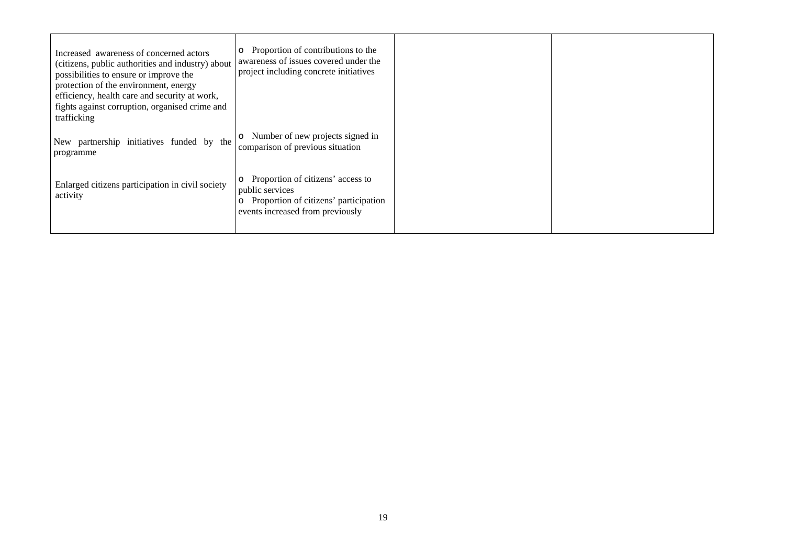| Increased awareness of concerned actors<br>(citizens, public authorities and industry) about<br>possibilities to ensure or improve the<br>protection of the environment, energy<br>efficiency, health care and security at work,<br>fights against corruption, organised crime and<br>trafficking | Proportion of contributions to the<br>$\circ$<br>awareness of issues covered under the<br>project including concrete initiatives             |  |
|---------------------------------------------------------------------------------------------------------------------------------------------------------------------------------------------------------------------------------------------------------------------------------------------------|----------------------------------------------------------------------------------------------------------------------------------------------|--|
| New partnership initiatives funded by the<br>programme                                                                                                                                                                                                                                            | Number of new projects signed in<br>$\circ$<br>comparison of previous situation                                                              |  |
| Enlarged citizens participation in civil society<br>activity                                                                                                                                                                                                                                      | Proportion of citizens' access to<br>$\circ$<br>public services<br>Proportion of citizens' participation<br>events increased from previously |  |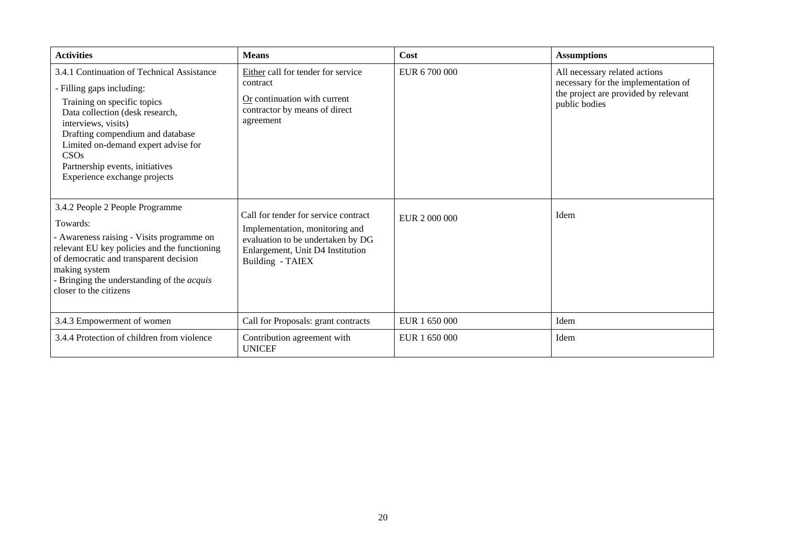| <b>Activities</b>                                                                                                                                                                                                                                                                                                      | <b>Means</b>                                                                                                                                                        | Cost          | <b>Assumptions</b>                                                                                                            |
|------------------------------------------------------------------------------------------------------------------------------------------------------------------------------------------------------------------------------------------------------------------------------------------------------------------------|---------------------------------------------------------------------------------------------------------------------------------------------------------------------|---------------|-------------------------------------------------------------------------------------------------------------------------------|
| 3.4.1 Continuation of Technical Assistance<br>- Filling gaps including:<br>Training on specific topics<br>Data collection (desk research,<br>interviews, visits)<br>Drafting compendium and database<br>Limited on-demand expert advise for<br>CSOs<br>Partnership events, initiatives<br>Experience exchange projects | Either call for tender for service<br>contract<br>Or continuation with current<br>contractor by means of direct<br>agreement                                        | EUR 6 700 000 | All necessary related actions<br>necessary for the implementation of<br>the project are provided by relevant<br>public bodies |
| 3.4.2 People 2 People Programme<br>Towards:<br>- Awareness raising - Visits programme on<br>relevant EU key policies and the functioning<br>of democratic and transparent decision<br>making system<br>- Bringing the understanding of the <i>acquis</i><br>closer to the citizens                                     | Call for tender for service contract<br>Implementation, monitoring and<br>evaluation to be undertaken by DG<br>Enlargement, Unit D4 Institution<br>Building - TAIEX | EUR 2000000   | Idem                                                                                                                          |
| 3.4.3 Empowerment of women                                                                                                                                                                                                                                                                                             | Call for Proposals: grant contracts                                                                                                                                 | EUR 1 650 000 | Idem                                                                                                                          |
| 3.4.4 Protection of children from violence                                                                                                                                                                                                                                                                             | Contribution agreement with<br><b>UNICEF</b>                                                                                                                        | EUR 1 650 000 | Idem                                                                                                                          |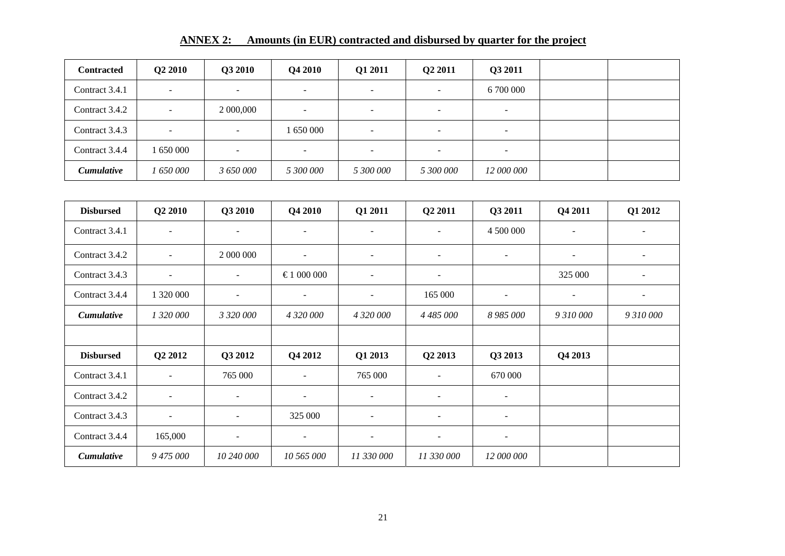| <b>ANNEX 2:</b> | Amounts (in EUR) contracted and disbursed by quarter for the project |  |  |
|-----------------|----------------------------------------------------------------------|--|--|
|                 |                                                                      |  |  |

| <b>Contracted</b> | Q2 2010                  | Q3 2010                  | Q4 2010   | Q1 2011                  | Q2 2011                  | Q3 2011                  |  |
|-------------------|--------------------------|--------------------------|-----------|--------------------------|--------------------------|--------------------------|--|
| Contract 3.4.1    | -                        | $\overline{\phantom{0}}$ | $\sim$    | $\overline{\phantom{0}}$ | $\overline{\phantom{a}}$ | 6 700 000                |  |
| Contract 3.4.2    | $\overline{\phantom{a}}$ | 2 000,000                | -         | $\overline{\phantom{0}}$ | $\overline{\phantom{0}}$ | -                        |  |
| Contract 3.4.3    | $\overline{\phantom{0}}$ | $\overline{\phantom{0}}$ | 1 650 000 | $\overline{\phantom{a}}$ | $\overline{\phantom{0}}$ | <b>.</b>                 |  |
| Contract 3.4.4    | 650 000                  | $\sim$                   | -         | $\sim$                   | $\overline{\phantom{0}}$ | $\overline{\phantom{0}}$ |  |
| <i>Cumulative</i> | 1 650 000                | 3 650 000                | 5 300 000 | 5 300 000                | 5 300 000                | 12 000 000               |  |

| <b>Disbursed</b>  | Q <sub>2</sub> 2010      | Q3 2010                  | Q4 2010                  | Q1 2011                  | Q <sub>2</sub> 2011      | Q3 2011                  | Q4 2011   | Q1 2012                  |
|-------------------|--------------------------|--------------------------|--------------------------|--------------------------|--------------------------|--------------------------|-----------|--------------------------|
| Contract 3.4.1    | $\sim$                   | $\overline{\phantom{a}}$ | $\overline{\phantom{a}}$ | $\overline{\phantom{a}}$ | $\blacksquare$           | 4 500 000                |           | $\overline{\phantom{a}}$ |
| Contract 3.4.2    | $\blacksquare$           | 2 000 000                | $\overline{\phantom{a}}$ | $\overline{\phantom{a}}$ | $\overline{\phantom{a}}$ | $\blacksquare$           | ۰         | $\overline{\phantom{a}}$ |
| Contract 3.4.3    | $\sim$                   | $\overline{\phantom{a}}$ | €1000000                 | $\overline{\phantom{a}}$ | $\overline{\phantom{a}}$ |                          | 325 000   | $\sim$                   |
| Contract 3.4.4    | 1 320 000                | $\sim$                   | $\sim$                   | $\overline{\phantom{a}}$ | 165 000                  | $\sim$                   |           | $\overline{\phantom{a}}$ |
| <b>Cumulative</b> | 1 320 000                | 3 320 000                | 4 320 000                | 4 320 000                | 4 485 000                | 8 985 000                | 9 310 000 | 9 310 000                |
|                   |                          |                          |                          |                          |                          |                          |           |                          |
| <b>Disbursed</b>  | Q <sub>2</sub> 2012      | Q3 2012                  | Q4 2012                  | Q1 2013                  | Q2 2013                  | Q3 2013                  | Q4 2013   |                          |
| Contract 3.4.1    | $\overline{\phantom{a}}$ | 765 000                  | $\overline{\phantom{a}}$ | 765 000                  | $\blacksquare$           | 670 000                  |           |                          |
| Contract 3.4.2    | $\overline{\phantom{a}}$ | $\overline{\phantom{a}}$ | $\overline{\phantom{a}}$ | $\overline{\phantom{a}}$ | $\overline{\phantom{a}}$ | $\overline{\phantom{a}}$ |           |                          |
| Contract 3.4.3    | $\overline{\phantom{a}}$ | $\sim$                   | 325 000                  | $\overline{\phantom{a}}$ | $\sim$                   | $\overline{\phantom{a}}$ |           |                          |
| Contract 3.4.4    | 165,000                  | $\overline{\phantom{a}}$ | $\sim$                   | $\overline{\phantom{a}}$ | $\overline{\phantom{a}}$ | $\overline{\phantom{a}}$ |           |                          |
| <b>Cumulative</b> | 9 475 000                | 10 240 000               | 10 565 000               | 11 330 000               | 11 330 000               | 12 000 000               |           |                          |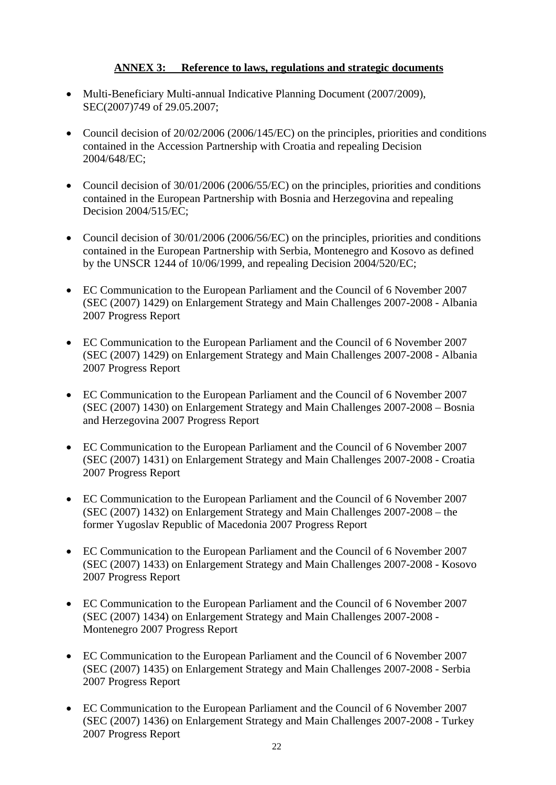### **ANNEX 3: Reference to laws, regulations and strategic documents**

- Multi-Beneficiary Multi-annual Indicative Planning Document (2007/2009), SEC(2007)749 of 29.05.2007;
- Council decision of 20/02/2006 (2006/145/EC) on the principles, priorities and conditions contained in the Accession Partnership with Croatia and repealing Decision 2004/648/EC;
- Council decision of 30/01/2006 (2006/55/EC) on the principles, priorities and conditions contained in the European Partnership with Bosnia and Herzegovina and repealing Decision 2004/515/EC;
- Council decision of 30/01/2006 (2006/56/EC) on the principles, priorities and conditions contained in the European Partnership with Serbia, Montenegro and Kosovo as defined by the UNSCR 1244 of 10/06/1999, and repealing Decision 2004/520/EC;
- EC Communication to the European Parliament and the Council of 6 November 2007 (SEC (2007) 1429) on Enlargement Strategy and Main Challenges 2007-2008 - Albania 2007 Progress Report
- EC Communication to the European Parliament and the Council of 6 November 2007 (SEC (2007) 1429) on Enlargement Strategy and Main Challenges 2007-2008 - Albania 2007 Progress Report
- EC Communication to the European Parliament and the Council of 6 November 2007 (SEC (2007) 1430) on Enlargement Strategy and Main Challenges 2007-2008 – Bosnia and Herzegovina 2007 Progress Report
- EC Communication to the European Parliament and the Council of 6 November 2007 (SEC (2007) 1431) on Enlargement Strategy and Main Challenges 2007-2008 - Croatia 2007 Progress Report
- EC Communication to the European Parliament and the Council of 6 November 2007 (SEC (2007) 1432) on Enlargement Strategy and Main Challenges 2007-2008 – the former Yugoslav Republic of Macedonia 2007 Progress Report
- EC Communication to the European Parliament and the Council of 6 November 2007 (SEC (2007) 1433) on Enlargement Strategy and Main Challenges 2007-2008 - Kosovo 2007 Progress Report
- EC Communication to the European Parliament and the Council of 6 November 2007 (SEC (2007) 1434) on Enlargement Strategy and Main Challenges 2007-2008 - Montenegro 2007 Progress Report
- EC Communication to the European Parliament and the Council of 6 November 2007 (SEC (2007) 1435) on Enlargement Strategy and Main Challenges 2007-2008 - Serbia 2007 Progress Report
- EC Communication to the European Parliament and the Council of 6 November 2007 (SEC (2007) 1436) on Enlargement Strategy and Main Challenges 2007-2008 - Turkey 2007 Progress Report